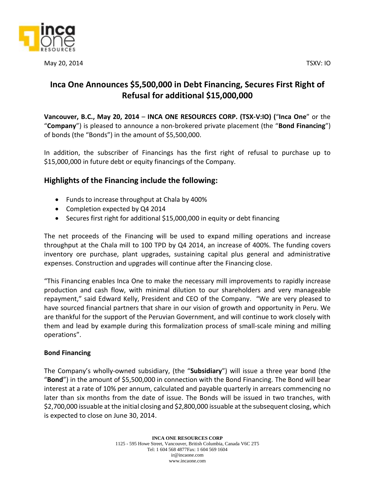

May 20, 2014 TSXV: IO

# **Inca One Announces \$5,500,000 in Debt Financing, Secures First Right of Refusal for additional \$15,000,000**

**Vancouver, B.C., May 20, 2014** – **INCA ONE RESOURCES CORP. (TSX‐V:IO) (**"**Inca One**" or the "**Company**") is pleased to announce a non-brokered private placement (the "**Bond Financing**") of bonds (the "Bonds") in the amount of \$5,500,000.

In addition, the subscriber of Financings has the first right of refusal to purchase up to \$15,000,000 in future debt or equity financings of the Company.

## **Highlights of the Financing include the following:**

- Funds to increase throughput at Chala by 400%
- Completion expected by Q4 2014
- Secures first right for additional \$15,000,000 in equity or debt financing

The net proceeds of the Financing will be used to expand milling operations and increase throughput at the Chala mill to 100 TPD by Q4 2014, an increase of 400%. The funding covers inventory ore purchase, plant upgrades, sustaining capital plus general and administrative expenses. Construction and upgrades will continue after the Financing close.

"This Financing enables Inca One to make the necessary mill improvements to rapidly increase production and cash flow, with minimal dilution to our shareholders and very manageable repayment," said Edward Kelly, President and CEO of the Company. "We are very pleased to have sourced financial partners that share in our vision of growth and opportunity in Peru. We are thankful for the support of the Peruvian Government, and will continue to work closely with them and lead by example during this formalization process of small-scale mining and milling operations".

### **Bond Financing**

The Company's wholly-owned subsidiary, (the "**Subsidiary**") will issue a three year bond (the "**Bond**") in the amount of \$5,500,000 in connection with the Bond Financing. The Bond will bear interest at a rate of 10% per annum, calculated and payable quarterly in arrears commencing no later than six months from the date of issue. The Bonds will be issued in two tranches, with \$2,700,000 issuable at the initial closing and \$2,800,000 issuable at the subsequent closing, which is expected to close on June 30, 2014.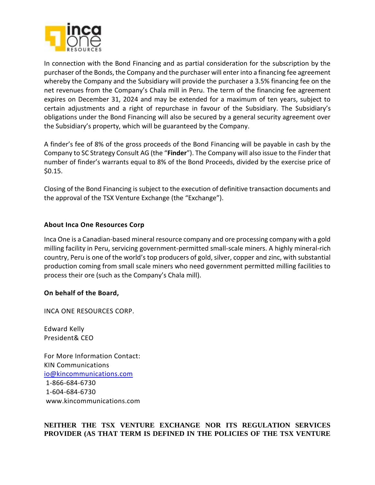

In connection with the Bond Financing and as partial consideration for the subscription by the purchaser of the Bonds, the Company and the purchaser will enter into a financing fee agreement whereby the Company and the Subsidiary will provide the purchaser a 3.5% financing fee on the net revenues from the Company's Chala mill in Peru. The term of the financing fee agreement expires on December 31, 2024 and may be extended for a maximum of ten years, subject to certain adjustments and a right of repurchase in favour of the Subsidiary. The Subsidiary's obligations under the Bond Financing will also be secured by a general security agreement over the Subsidiary's property, which will be guaranteed by the Company.

A finder's fee of 8% of the gross proceeds of the Bond Financing will be payable in cash by the Company to SC Strategy Consult AG (the "**Finder**"). The Company will also issue to the Finder that number of finder's warrants equal to 8% of the Bond Proceeds, divided by the exercise price of \$0.15.

Closing of the Bond Financing is subject to the execution of definitive transaction documents and the approval of the TSX Venture Exchange (the "Exchange").

#### **About Inca One Resources Corp**

Inca One is a Canadian-based mineral resource company and ore processing company with a gold milling facility in Peru, servicing government-permitted small-scale miners. A highly mineral-rich country, Peru is one of the world's top producers of gold, silver, copper and zinc, with substantial production coming from small scale miners who need government permitted milling facilities to process their ore (such as the Company's Chala mill).

#### **On behalf of the Board,**

INCA ONE RESOURCES CORP.

Edward Kelly President& CEO

For More Information Contact: KIN Communications [io@kincommunications.com](mailto:io@kincommunications.com) 1-866-684-6730 1-604-684-6730 www.kincommunications.com

#### **NEITHER THE TSX VENTURE EXCHANGE NOR ITS REGULATION SERVICES PROVIDER (AS THAT TERM IS DEFINED IN THE POLICIES OF THE TSX VENTURE**